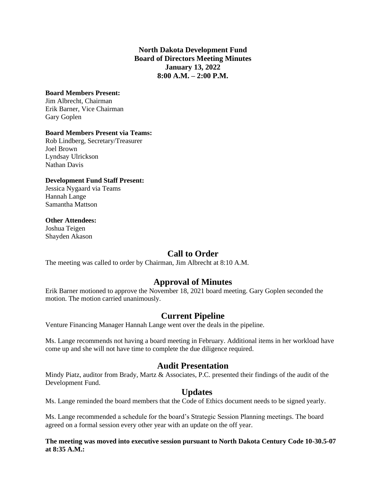### **North Dakota Development Fund Board of Directors Meeting Minutes January 13, 2022 8:00 A.M. – 2:00 P.M.**

#### **Board Members Present:**

Jim Albrecht, Chairman Erik Barner, Vice Chairman Gary Goplen

### **Board Members Present via Teams:**

Rob Lindberg, Secretary/Treasurer Joel Brown Lyndsay Ulrickson Nathan Davis

### **Development Fund Staff Present:**

Jessica Nygaard via Teams Hannah Lange Samantha Mattson

#### **Other Attendees:**

Joshua Teigen Shayden Akason

# **Call to Order**

The meeting was called to order by Chairman, Jim Albrecht at 8:10 A.M.

# **Approval of Minutes**

Erik Barner motioned to approve the November 18, 2021 board meeting. Gary Goplen seconded the motion. The motion carried unanimously.

## **Current Pipeline**

Venture Financing Manager Hannah Lange went over the deals in the pipeline.

Ms. Lange recommends not having a board meeting in February. Additional items in her workload have come up and she will not have time to complete the due diligence required.

## **Audit Presentation**

Mindy Piatz, auditor from Brady, Martz & Associates, P.C. presented their findings of the audit of the Development Fund.

## **Updates**

Ms. Lange reminded the board members that the Code of Ethics document needs to be signed yearly.

Ms. Lange recommended a schedule for the board's Strategic Session Planning meetings. The board agreed on a formal session every other year with an update on the off year.

#### **The meeting was moved into executive session pursuant to North Dakota Century Code 10-30.5-07 at 8:35 A.M.:**